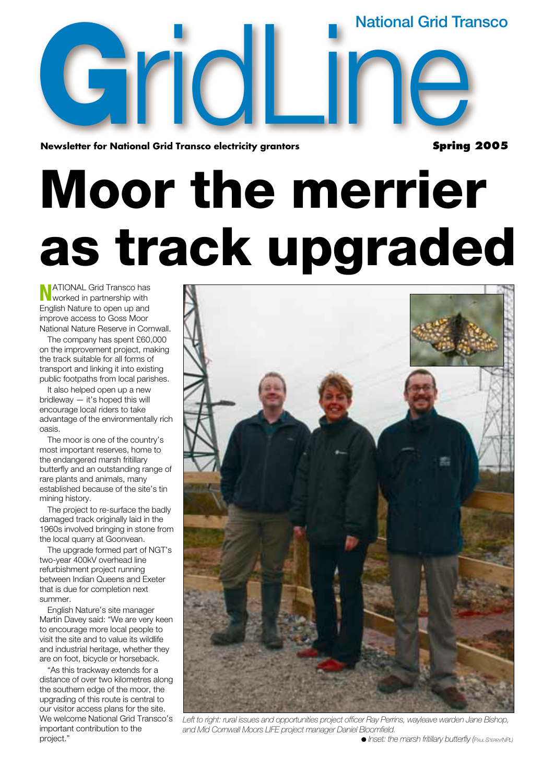**National Grid Transco**

**Newsletter for National Grid Transco electricity grantors**  onal Grid Transco electricity grantors<br>expanding the spring

**Spring 2005**

# **Moor the merrier as track upgraded**

**N**ATIONAL Grid Transco has worked in partnership with English Nature to open up and improve access to Goss Moor National Nature Reserve in Cornwall.

**G**

The company has spent £60,000 on the improvement project, making the track suitable for all forms of transport and linking it into existing public footpaths from local parishes.

It also helped open up a new bridleway — it's hoped this will encourage local riders to take advantage of the environmentally rich oasis.

The moor is one of the country's most important reserves, home to the endangered marsh fritillary butterfly and an outstanding range of rare plants and animals, many established because of the site's tin mining history.

The project to re-surface the badly damaged track originally laid in the 1960s involved bringing in stone from the local quarry at Goonvean.

The upgrade formed part of NGT's two-year 400kV overhead line refurbishment project running between Indian Queens and Exeter that is due for completion next summer.

English Nature's site manager Martin Davey said: "We are very keen to encourage more local people to visit the site and to value its wildlife and industrial heritage, whether they are on foot, bicycle or horseback.

"As this trackway extends for a distance of over two kilometres along the southern edge of the moor, the upgrading of this route is central to our visitor access plans for the site. We welcome National Grid Transco's important contribution to the project."



*Left to right: rural issues and opportunities project officer Ray Perrins, wayleave warden Jane Bishop, and Mid Cornwall Moors LIFE project manager Daniel Bloomfield.* 

● *Inset: the marsh fritillary butterfly (PAUL STERRY/NPL)*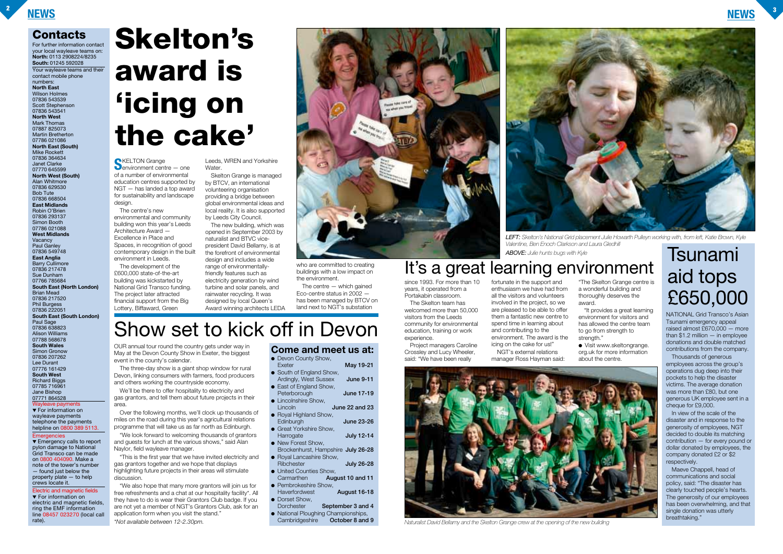

# **Skelton's award is 'icing on the cake'**



*LEFT: Skelton's National Grid placement Julie Howarth Pulleyn working with, from left, Katie Brown, Kyle*





*Naturalist David Bellamy and the Skelton Grange crew at the opening of the new building*

**Contacts**

**Emergencies** ▼ Emergency calls to report pylon damage to National

For further information contact your local wayleave teams on: **North:** 0113 2908224/8235 **South:** 01245 592028 Your wayleave teams and their contact mobile phone numbers: **North East** Wilson Holmes 07836 543539 Scott Stephenson 07836 543541 **North West** Mark Thomas 07887 825073 Martin Bretherton 07786 021086 **North East (South)** Mike Rockett 07836 364634 Janet Clarke 07770 645599 **North West (South)** Alan Whitmore 07836 629530 Bob Tute 07836 668504 **East Midlands** Robin O'Brien 07836 293137 Simon Booth 07786 021088 **West Midlands** Vacancy Paul Ganley 07836 549748 **East Anglia** Barry Cullimore 07836 217478 Sue Dunham 07766 785684 **South East (North London)** Brian Mead 07836 217520 Phil Burgess 07836 222051 **South East (South London)** Paul Sage 07836 638823 Alison Williams 07788 568678 **South Wales** Simon Gronow 07836 207262 Lee Durant 07776 161429 **South West** Richard Biggs 07785 716961 Jane Bishop 07771 864528 ave payments ▼ For information on

> "We also hope that many more grantors will join us for free refreshments and a chat at our hospitality facility\*. All they have to do is wear their Grantors Club badge. If you are not yet a member of NGT's Grantors Club, ask for an application form when you visit the stand.'

wayleave payments telephone the payments helpline on 0800 389 5113.

Grid Transco can be made on 0800 404090. Make a note of the tower's number — found just below the property plate — to help crews locate it.

Electric and magnetic fields ▼ For information on electric and magnetic fields, ring the EMF information line 08457 023270 (local call rate).

Leeds, WREN and Yorkshire **Water**.

OUR annual tour round the country gets under way in May at the Devon County Show in Exeter, the biggest event in the county's calendar.

The three-day show is a giant shop window for rural Devon, linking consumers with farmers, food producers and others working the countryside economy.

We'll be there to offer hospitality to electricity and gas grantors, and tell them about future projects in their area.

Over the following months, we'll clock up thousands of miles on the road during this year's agricultural relations programme that will take us as far north as Edinburgh.

"We look forward to welcoming thousands of grantors and guests for lunch at the various shows," said Alan Naylor, field wayleave manager.

- Devon County Show,<br>Exeter **May 19-21** ● South of England Show,
- Ardingly, West Sussex **June 9-11** ● East of England Show,
- Peterborough **June 17-19** ● Lincolnshire Show,
- Lincoln **June 22 and 23**
- Royal Highland Show,<br>Edinburgh Edinburgh **June 23-26** ● Great Yorkshire Show,
- Harrogate **July 12-14** ● New Forest Show,
- Brockenhurst, Hampshire **July 26-28**
- Royal Lancashire Show,<br>Ribchester Ribchester **July 26-28**
- United Counties Show,<br>Carmarthen **Aud** August 10 and 11
- Pembrokeshire Show,<br>Haverfordwest Haverfordwest **August 16-18**
- Dorset Show,<br>Dorchester September 3 and 4
- National Ploughing Championships, Cambridgeshire **October 8 and 9**

"This is the first year that we have invited electricity and gas grantors together and we hope that displays highlighting future projects in their areas will stimulate discussion.

award. strength."

*\*Not available between 12-2.30pm.*

**S**KELTON Grange environment centre — one of a number of environmental education centres supported by NGT — has landed a top award for sustainability and landscape design.

The centre's new environmental and community building won this year's Leeds Architecture Award — Excellence in Place and Spaces, in recognition of good contemporary design in the built environment in Leeds.

> Maeve Chappell, head of communications and social policy, said: "The disaster has clearly touched people's hearts. The generosity of our employees has been overwhelming, and that single donation was utterly breathtaking."

The development of the £600,000 state-of-the-art building was kickstarted by National Grid Transco funding. The project later attracted financial support from the Big Lottery, Biffaward, Green

Skelton Grange is managed by BTCV, an international volunteering organisation providing a bridge between global environmental ideas and local reality. It is also supported by Leeds City Council.

The new building, which was opened in September 2003 by naturalist and BTVC vicepresident David Bellamy, is at the forefront of environmental design and includes a wide range of environmentallyfriendly features such as electricity generation by wind turbine and solar panels, and rainwater recycling. It was designed by local Queen's Award winning architects LEDA



who are committed to creating buildings with a low impact on the environment.

The centre — which gained Eco-centre status in 2002 has been managed by BTCV on land next to NGT's substation

### **Come and meet us at:**

## Show set to kick off in Devon

since 1993. For more than 10 years, it operated from a Portakabin classroom.

The Skelton team has welcomed more than 50,000 visitors from the Leeds community for environmental education, training or work experience.

Project managers Caroline Crossley and Lucy Wheeler, said: "We have been really

fortunate in the support and enthusiasm we have had from all the visitors and volunteers involved in the project, so we are pleased to be able to offer them a fantastic new centre to spend time in learning about and contributing to the environment. The award is the icing on the cake for us!"

NGT's external relations manager Ross Hayman said:

"The Skelton Grange centre is a wonderful building and thoroughly deserves the

"It provides a great learning environment for visitors and has allowed the centre team to go from strength to

● Visit www.skeltongrange. org.uk for more information about the centre.

## It's a great learning environment

NATIONAL Grid Transco's Asian Tsunami emergency appeal raised almost £670,000 — more than \$1.2 million — in employee donations and double matched contributions from the company.

Thousands of generous employees across the group's operations dug deep into their pockets to help the disaster victims. The average donation was more than £80, but one generous UK employee sent in a cheque for £9,000.

In view of the scale of the disaster and in response to the generosity of employees, NGT decided to double its matching contribution — for every pound or dollar donated by employees, the company donated £2 or \$2 respectively.

## Tsunami aid tops £650,000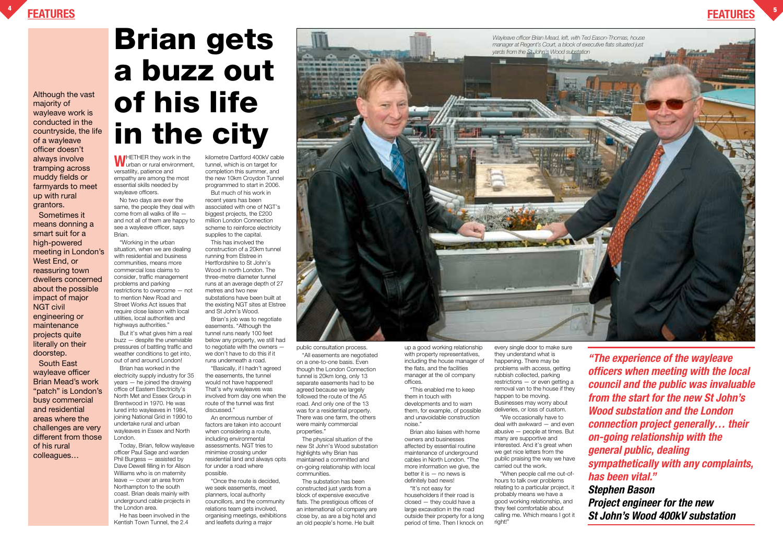up a good working relationship with property representatives, including the house manager of the flats, and the facilities manager at the oil company offices.

"This enabled me to keep them in touch with developments and to warn them, for example, of possible and unavoidable construction noise."

Brian also liaises with home owners and businesses affected by essential routine maintenance of underground cables in North London. "The more information we give, the better it is — no news is definitely bad news!

"When people call me out-ofhours to talk over problems relating to a particular project, it probably means we have a good working relationship, and they feel comfortable about calling me. Which means I got it right!"

"It's not easy for householders if their road is closed — they could have a large excavation in the road outside their property for a long period of time. Then I knock on every single door to make sure they understand what is happening. There may be problems with access, getting rubbish collected, parking restrictions — or even getting a removal van to the house if they happen to be moving. Businesses may worry about deliveries, or loss of custom.

"We occasionally have to deal with awkward — and even abusive — people at times. But many are supportive and interested. And it's great when we get nice letters from the public praising the way we have carried out the work.



# **Brian gets a buzz out of his life in the city**

**W**HETHER they work in the urban or rural environment, versatility, patience and empathy are among the most essential skills needed by wayleave officers.

No two days are ever the same, the people they deal with come from all walks of life and not all of them are happy to see a wayleave officer, says Brian.

"Working in the urban situation, when we are dealing with residential and business communities, means more commercial loss claims to consider, traffic management problems and parking restrictions to overcome — not to mention New Road and Street Works Act issues that require close liaison with local utilities, local authorities and highways authorities."

But it's what gives him a real buzz — despite the unenviable pressures of battling traffic and weather conditions to get into, out of and around London!

Brian has worked in the electricity supply industry for 35 years — he joined the drawing office of Eastern Electricity's North Met and Essex Group in Brentwood in 1970. He was lured into wayleaves in 1984, joining National Grid in 1990 to undertake rural and urban wayleaves in Essex and North London.

Today, Brian, fellow wayleave officer Paul Sage and warden Phil Burgess — assisted by Dave Dewell filling in for Alison Williams who is on maternity leave — cover an area from Northampton to the south coast. Brian deals mainly with underground cable projects in the London area.

He has been involved in the Kentish Town Tunnel, the 2.4

kilometre Dartford 400kV cable tunnel, which is on target for completion this summer, and the new 10km Croydon Tunnel programmed to start in 2006.

But much of his work in recent years has been associated with one of NGT's biggest projects, the £200 million London Connection scheme to reinforce electricity supplies to the capital.

This has involved the construction of a 20km tunnel running from Elstree in Hertfordshire to St John's Wood in north London. The three-metre diameter tunnel runs at an average depth of 27 metres and two new substations have been built at the existing NGT sites at Elstree and St John's Wood.

Brian's job was to negotiate easements. "Although the tunnel runs nearly 100 feet below any property, we still had to negotiate with the owners we don't have to do this if it runs underneath a road.

"Basically, if I hadn't agreed the easements, the tunnel would not have happened! That's why wayleaves was involved from day one when the route of the tunnel was first discussed."

An enormous number of factors are taken into account when considering a route, including environmental assessments. NGT tries to minimise crossing under residential land and always opts for under a road where possible.

"Once the route is decided, we seek easements, meet planners, local authority councillors, and the community relations team gets involved, organising meetings, exhibitions and leaflets during a major

public consultation process.

"All easements are negotiated on a one-to-one basis. Even though the London Connection tunnel is 20km long, only 13 separate easements had to be agreed because we largely followed the route of the A5 road. And only one of the 13 was for a residential property. There was one farm, the others were mainly commercial properties."

The physical situation of the new St John's Wood substation highlights why Brian has maintained a committed and on-going relationship with local communities.

The substation has been constructed just yards from a block of expensive executive flats. The prestigious offices of an international oil company are close by, as are a big hotel and an old people's home. He built

**"The experience of the wayleave officers when meeting with the local council and the public was invaluable from the start for the new St John's Wood substation and the London connection project generally… their on-going relationship with the general public, dealing sympathetically with any complaints, has been vital." Stephen Bason**

**Project engineer for the new St John's Wood 400kV substation**

Although the vast majority of wayleave work is conducted in the countryside, the life of a wayleave officer doesn't always involve tramping across muddy fields or farmyards to meet up with rural grantors.

Sometimes it means donning a smart suit for a high-powered meeting in London's West End, or reassuring town dwellers concerned about the possible impact of major NGT civil engineering or maintenance projects quite literally on their doorstep.

South East wayleave officer Brian Mead's work "patch" is London's busy commercial and residential areas where the challenges are very different from those of his rural colleagues…

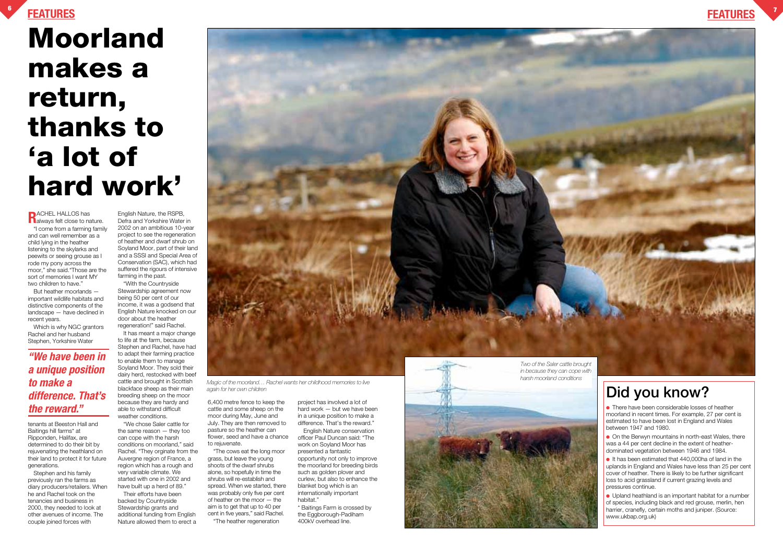**6**



**R**ACHEL HALLOS has<br>**R**always felt close to nature. "I come from a farming family and can well remember as a child lying in the heather listening to the skylarks and peewits or seeing grouse as I rode my pony across the moor," she said."Those are the sort of memories I want MY two children to have."

But heather moorlands important wildlife habitats and distinctive components of the landscape — have declined in recent years.

Which is why NGC grantors Rachel and her husband Stephen, Yorkshire Water

tenants at Beeston Hall and Baitings hill farms\* at Ripponden, Halifax, are determined to do their bit by rejuvenating the heathland on their land to protect it for future generations.

Stephen and his family previously ran the farms as diary producers/retailers. When he and Rachel took on the tenancies and business in 2000, they needed to look at other avenues of income. The couple joined forces with

English Nature, the RSPB, Defra and Yorkshire Water in 2002 on an ambitious 10-year project to see the regeneration of heather and dwarf shrub on Soyland Moor, part of their land and a SSSI and Special Area of Conservation (SAC), which had suffered the rigours of intensive farming in the past.

"With the Countryside Stewardship agreement now being 50 per cent of our income, it was a godsend that English Nature knocked on our door about the heather regeneration!" said Rachel.

It has meant a major change to life at the farm, because Stephen and Rachel, have had to adapt their farming practice to enable them to manage Soyland Moor. They sold their dairy herd, restocked with beef cattle and brought in Scottish blackface sheep as their main breeding sheep on the moor because they are hardy and able to withstand difficult weather conditions.

"We chose Saler cattle for the same reason — they too can cope with the harsh conditions on moorland," said Rachel. "They orginate from the Auvergne region of France, a region which has a rough and very variable climate. We started with one in 2002 and have built up a herd of 89."

Their efforts have been backed by Countryside Stewardship grants and additional funding from English Nature allowed them to erect a

6,400 metre fence to keep the cattle and some sheep on the moor during May, June and July. They are then removed to pasture so the heather can flower, seed and have a chance

to rejuvenate.

"The cows eat the long moor grass, but leave the young shoots of the dwarf shrubs alone, so hopefully in time the shrubs will re-establish and spread. When we started, there was probably only five per cent of heather on the moor — the aim is to get that up to 40 per cent in five years," said Rachel. "The heather regeneration

project has involved a lot of hard work — but we have been in a unique position to make a difference. That's the reward."

English Nature conservation officer Paul Duncan said: "The work on Soyland Moor has presented a fantastic opportunity not only to improve the moorland for breeding birds such as golden plover and curlew, but also to enhance the blanket bog which is an internationally important habitat."

\* Baitings Farm is crossed by the Eggborough-Padiham 400kV overhead line.



● Upland heathland is an important habitat for a number of species, including black and red grouse, merlin, hen harrier, cranefly, certain moths and juniper. (Source: www.ukbap.org.uk)

# **Moorland makes a return, thanks to 'a lot of hard work'**

*again for her own children*

**"We have been in a unique position to make a difference. That's the reward."**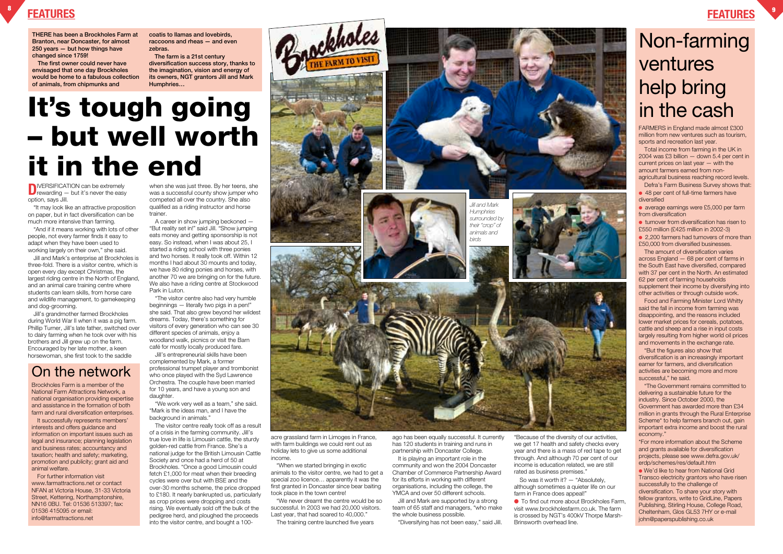**D**IVERSIFICATION can be extremely<br>rewarding — but it's never the easy option, says Jill.

"It may look like an attractive proposition on paper, but in fact diversification can be much more intensive than farming.

"And if it means working with lots of other people, not every farmer finds it easy to adapt when they have been used to working largely on their own," she said.

Jill and Mark's enterprise at Brockholes is three-fold. There is a visitor centre, which is open every day except Christmas, the largest riding centre in the North of England, and an animal care training centre where students can learn skills, from horse care and wildlife management, to gamekeeping and dog-grooming.

Jill's grandmother farmed Brockholes during World War II when it was a pig farm. Phillip Turner, Jill's late father, switched over to dairy farming when he took over with his brothers and Jill grew up on the farm. Encouraged by her late mother, a keen horsewoman, she first took to the saddle

Jill's entrepreneurial skills have been complemented by Mark, a former professional trumpet player and trombonist who once played with the Syd Lawrence Orchestra. The couple have been married for 10 years, and have a young son and daughter.

when she was just three. By her teens, she was a successful county show jumper who competed all over the country. She also qualified as a riding instructor and horse trainer.

"We work very well as a team," she said. "Mark is the ideas man, and I have the background in animals.

A career in show jumping beckoned — "But reality set in!" said Jill. "Show jumping eats money and getting sponsorship is not easy. So instead, when I was about 25, I started a riding school with three ponies and two horses. It really took off. Within 12 months I had about 30 mounts and today, we have 80 riding ponies and horses, with another 70 we are bringing on for the future. We also have a riding centre at Stockwood Park in Luton.

"The visitor centre also had very humble beginnings — literally two pigs in a pen!" she said. That also grew beyond her wildest dreams. Today, there's something for visitors of every generation who can see 30 different species of animals, enjoy a woodland walk, picnics or visit the Barn café for mostly locally produced fare.

> It is playing an important role in the community and won the 2004 Doncaster Chamber of Commerce Partnership Award for its efforts in working with different organisations, including the college, the YMCA and over 50 different schools.

So was it worth it? — "Absolutely, although sometimes a quieter life on our farm in France does appeal!"

● To find out more about Brockholes Farm, visit www.brockholesfarm.co.uk. The farm is crossed by NGT's 400kV Thorpe Marsh-Brinsworth overhead line.

The visitor centre really took off as a result of a crisis in the farming community. Jill's true love in life is Limousin cattle, the sturdy golden-red cattle from France. She's a national judge for the British Limousin Cattle Society and once had a herd of 50 at Brockholes. "Once a good Limousin could fetch £1,000 for meat when their breeding cycles were over but with BSE and the over-30 months scheme, the price dropped to £180. It nearly bankrupted us, particularly as crop prices were dropping and costs rising. We eventually sold off the bulk of the pedigree herd, and ploughed the proceeds into the visitor centre, and bought a 100-





acre grassland farm in Limoges in France, with farm buildings we could rent out as holiday lets to give us some additional income.

"When we started bringing in exotic animals to the visitor centre, we had to get a special zoo licence… apparently it was the first granted in Doncaster since bear baiting took place in the town centre!

"We never dreamt the centre would be so successful. In 2003 we had 20,000 visitors. Last year, that had soared to 40,000."

The training centre launched five years

ago has been equally successful. It currently has 120 students in training and runs in partnership with Doncaster College.

It successfully represents members' interests and offers guidance and information on important issues such as legal and insurance; planning legislation and business rates; accountancy and taxation; health and safety; marketing, promotion and publicity; grant aid and animal welfare.

> Jill and Mark are supported by a strong team of 65 staff and managers, "who make the whole business possible.

"Diversifying has not been easy," said Jill.

"Because of the diversity of our activities, we get 17 health and safety checks every year and there is a mass of red tape to get through. And although 70 per cent of our income is education related, we are still rated as business premises."

### **FEATURES <sup>8</sup>**

### **FEATURES <sup>9</sup>**







FARMERS in England made almost £300 million from new ventures such as tourism, sports and recreation last year.

Total income from farming in the UK in 2004 was £3 billion — down 5.4 per cent in current prices on last year — with the amount farmers earned from nonagricultural business reaching record levels.

Defra's Farm Business Survey shows that: ● 48 per cent of full-time farmers have diversified

● average earnings were £5,000 per farm from diversification

● turnover from diversification has risen to £550 million (£425 million in 2002-3) ● 2,200 farmers had turnovers of more than £50,000 from diversified businesses.

The amount of diversification varies across England — 68 per cent of farms in the South East have diversified, compared with 37 per cent in the North. An estimated 62 per cent of farming households supplement their income by diversifying into other activities or through outside work.

Food and Farming Minister Lord Whitty said the fall in income from farming was disappointing, and the reasons included lower market prices for cereals, potatoes, cattle and sheep and a rise in input costs largely resulting from higher world oil prices and movements in the exchange rate.

"But the figures also show that diversification is an increasingly important earner for farmers, and diversification activities are becoming more and more successful," he said.

"The Government remains committed to delivering a sustainable future for the industry. Since October 2000, the Government has awarded more than £34 million in grants through the Rural Enterprise Scheme\* to help farmers branch out, gain important extra income and boost the rural economy."

\*For more information about the Scheme and grants available for diversification projects, please see www.defra.gov.uk/ erdp/schemes/res/default.htm

● We'd like to hear from National Grid Transco electricity grantors who have risen successfully to the challenge of diversification. To share your story with fellow grantors, write to GridLine, Papers Publishing, Stirling House, College Road, Cheltenham, Glos GL53 7HY or e-mail john@paperspublishing.co.uk

**THERE has been a Brockholes Farm at Branton, near Doncaster, for almost 250 years — but how things have changed since 1759!**

**The first owner could never have envisaged that one day Brockholes would be home to a fabulous collection of animals, from chipmunks and** 

**coatis to llamas and lovebirds, raccoons and rheas — and even zebras.**

**The farm is a 21st century diversification success story, thanks to the imagination, vision and energy of its owners, NGT grantors Jill and Mark Humphries…**

Brockholes Farm is a member of the National Farm Attractions Network, a national organisation providing expertise and assistance in the formation of both farm and rural diversification enterprises.

For further information visit www.farmattractions.net or contact NFAN at Victoria House, 31-33 Victoria Street, Kettering, Northamptonshire, NN16 0BU. Tel: 01536 513397; fax: 01536 415095 or email: info@farmattractions.net

# **It's tough going – but well worth it in the end**

### On the network

## Non-farming ventures help bring in the cash



*Jill and Mark Humphries surrounded by their "crop" of animals and birds*

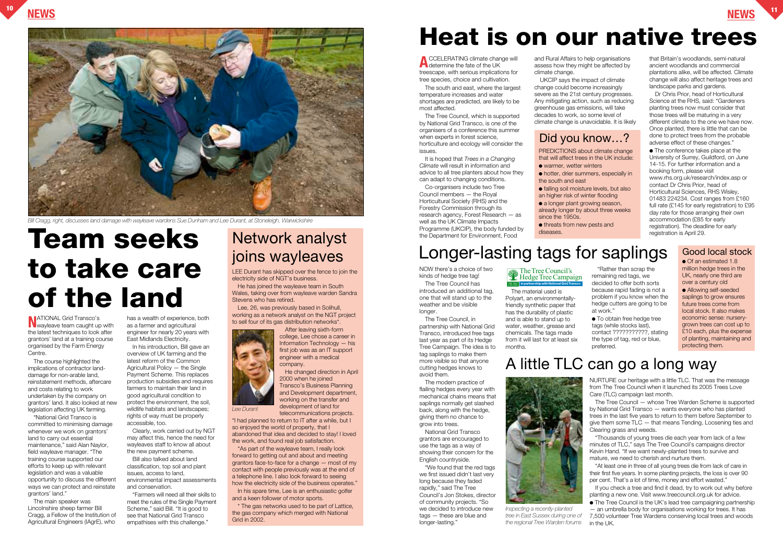NOW there's a choice of two kinds of hedge tree tag! The Tree Council has introduced an additional tag, one that will stand up to the weather and be visible

longer. The Tree Council, in partnership with National Grid Transco, introduced free tags last year as part of its Hedge Tree Campaign. The idea is to tag saplings to make them more visible so that anyone cutting hedges knows to avoid them.

"We found that the red tags we first issued didn't last very long because they faded rapidly," said The Tree Council's Jon Stokes, director of community projects. "So we decided to introduce new tags — these are blue and longer-lasting."

The modern practice of flailing hedges every year with mechanical chains means that saplings normally get slashed back, along with the hedge, giving them no chance to grow into trees.

National Grid Transco grantors are encouraged to use the tags as a way of showing their concern for the English countryside.

The material used is Polyart, an environmentallyfriendly synthetic paper that has the durability of plastic and is able to stand up to water, weather, grease and chemicals. The tags made from it will last for at least six months.

"Rather than scrap the remaining red tags, we decided to offer both sorts because rapid fading is not a problem if you know when the hedge cutters are going to be at work."

In his spare time. Lee is an enthusiastic golfer and a keen follower of motor sports.

● To obtain free hedge tree tags (while stocks last), contact ???????????, stating the type of tag, red or blue, preferred.

## **Team seeks** Network analyst<br>
ioins wayleaves Longer-lasting tags for saplings **to take care of the land**



LEE Durant has skipped over the fence to join the electricity side of NGT's business.

**NATIONAL Grid Transco's**<br>wayleave team caught up with the latest techniques to look after grantors' land at a training course organised by the Farm Energy Centre.

He has joined the wayleave team in South Wales, taking over from wayleave warden Sandra Stevens who has retired.

Lee, 26, was previously based in Solihull, working as a network analyst on the NGT project to sell four of its gas distribution networks\*.



After leaving sixth-form college, Lee chose a career in Information Technology — his first job was as an IT support engineer with a medical company. He changed direction in April

2000 when he joined Transco's Business Planning and Development department, working on the transfer and development of land for

telecommunications projects.

"I had planned to return to IT after a while, but I so enjoyed the world of property, that I abandoned that idea and decided to stay! I loved the work, and found real job satisfaction.

"As part of the wayleave team, I really look forward to getting out and about and meeting grantors face-to-face for a change — most of my contact with people previously was at the end of a telephone line. I also look forward to seeing how the electricity side of the business operates."

\* The gas networks used to be part of Lattice, the gas company which merged with National Grid in 2002.

# Network analyst

## **Heat is on our native trees**



*Bill Cragg, right, discusses land damage with wayleave wardens Sue Dunham and Lee Durant, at Stoneleigh, Warwickshire*

The course highlighted the implications of contractor landdamage for non-arable land, reinstatement methods, aftercare and costs relating to work undertaken by the company on grantors' land. It also looked at new legislation affecting UK farming.

"National Grid Transco is committed to minimising damage whenever we work on grantors' land to carry out essential maintenance," said Alan Naylor, field wayleave manager. "The training course supported our efforts to keep up with relevant legislation and was a valuable opportunity to discuss the different ways we can protect and reinstate grantors' land."

The main speaker was Lincolnshire sheep farmer Bill Cragg, a Fellow of the Institution of Agricultural Engineers (IAgrE), who

● Of an estimated 1.8 million hedge trees in the UK, nearly one third are over a century old ● Allowing self-seeded saplings to grow ensures future trees come from local stock. It also makes economic sense: nurserygrown trees can cost up to £10 each, plus the expense of planting, maintaining and protecting them.

has a wealth of experience, both as a farmer and agricultural engineer for nearly 20 years with East Midlands Electricity.

In his introduction, Bill gave an overview of UK farming and the latest reform of the Common Agricultural Policy — the Single Payment Scheme. This replaces production subsidies and requires farmers to maintain their land in good agricultural condition to protect the environment, the soil, wildlife habitats and landscapes; rights of way must be properly accessible, too.

Clearly, work carried out by NGT may affect this, hence the need for wayleaves staff to know all about the new payment scheme.

Bill also talked about land classification, top soil and plant issues, access to land, environmental impact assessments and conservation.

"Farmers will need all their skills to meet the rules of the Single Payment Scheme," said Bill. "It is good to see that National Grid Transco empathises with this challenge."

**A**CCELERATING climate change will determine the fate of the UK treescape, with serious implications for tree species, choice and cultivation.

The south and east, where the largest temperature increases and water shortages are predicted, are likely to be most affected.

The Tree Council, which is supported by National Grid Transco, is one of the organisers of a conference this summer when experts in forest science. horticulture and ecology will consider the issues.

It is hoped that *Trees in a Changing Climate* will result in information and advice to all tree planters about how they can adapt to changing conditions.

Co-organisers include two Tree Council members — the Royal Horticultural Society (RHS) and the Forestry Commission through its research agency, Forest Research — as well as the UK Climate Impacts Programme (UKCIP), the body funded by the Department for Environment, Food

and Rural Affairs to help organisations assess how they might be affected by climate change.

UKCIP says the impact of climate change could become increasingly severe as the 21st century progresses. Any mitigating action, such as reducing greenhouse gas emissions, will take decades to work, so some level of climate change is unavoidable. It is likely

that Britain's woodlands, semi-natural ancient woodlands and commercial plantations alike, will be affected. Climate change will also affect heritage trees and landscape parks and gardens.

Dr Chris Prior, head of Horticultural Science at the RHS, said: "Gardeners planting trees now must consider that those trees will be maturing in a very different climate to the one we have now. Once planted, there is little that can be done to protect trees from the probable adverse effect of these changes."

● The conference takes place at the University of Surrey, Guildford, on June 14-15. For further information and a booking form, please visit www.rhs.org.uk/research/index.asp or contact Dr Chris Prior, head of Horticultural Sciences, RHS Wisley, 01483 224234. Cost ranges from £160 full rate (£145 for early registration) to £95 day rate for those arranging their own accommodation (£85 for early registration). The deadline for early registration is April 29.

*Lee Durant*

### The Tree Council's Hedge Tree Campaign **in partnership with National Grid Transco**

PREDICTIONS about climate change

that will affect trees in the UK include:

● hotter, drier summers, especially in

- warmer, wetter winters
- the south and east
- falling soil moisture levels, but also

an higher risk of winter flooding • a longer plant growing season, already longer by about three weeks

since the 1950s.

● threats from new pests and

diseases.

### Did you know…?

Good local stock

### A little TLC can go a long way

NURTURE our heritage with a little TLC. That was the message from The Tree Council when it launched its 2005 Trees Love Care (TLC) campaign last month.

The Tree Council — whose Tree Warden Scheme is supported by National Grid Transco — wants everyone who has planted trees in the last five years to return to them before September to give them some TLC — that means Tending, Loosening ties and Clearing grass and weeds.

"Thousands of young trees die each year from lack of a few minutes of TLC," says The Tree Council's campaigns director Kevin Hand. "If we want newly-planted trees to survive and mature, we need to cherish and nurture them.

"At least one in three of all young trees die from lack of care in their first five years. In some planting projects, the loss is over 90 per cent. That's a lot of time, money and effort wasted."

If you check a tree and find it dead, try to work out why before planting a new one. Visit www.treecouncil.org.uk for advice.

● The Tree Council is the UK's lead tree campaigning partnership — an umbrella body for organisations working for trees. It has 7,500 volunteer Tree Wardens conserving local trees and woods in the UK.

*Inspecting a recently-planted tree in East Sussex during one of the regional Tree Warden forums*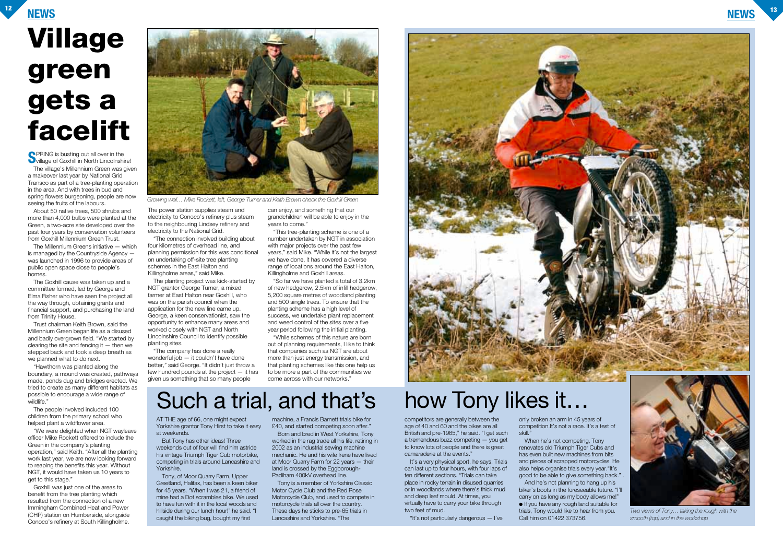## **NEWS <sup>12</sup> NEWS <sup>13</sup> Village green gets a facelift**

**SPRING** is busting out all over in the **S**village of Goxhill in North Lincolnshire! The village's Millennium Green was given a makeover last year by National Grid Transco as part of a tree-planting operation in the area. And with trees in bud and spring flowers burgeoning, people are now seeing the fruits of the labours.

About 50 native trees, 500 shrubs and more than 4,000 bulbs were planted at the Green, a two-acre site developed over the past four years by conservation volunteers from Goxhill Millennium Green Trust.

The Millennium Greens initiative — which is managed by the Countryside Agency was launched in 1996 to provide areas of public open space close to people's homes.

The Goxhill cause was taken up and a committee formed, led by George and Elma Fisher who have seen the project all the way through, obtaining grants and financial support, and purchasing the land from Trinity House.

Trust chairman Keith Brown, said the Millennium Green began life as a disused and badly overgrown field. "We started by clearing the site and fencing it  $-$  then we stepped back and took a deep breath as we planned what to do next.

"Hawthorn was planted along the boundary, a mound was created, pathways made, ponds dug and bridges erected. We tried to create as many different habitats as possible to encourage a wide range of wildlife."

The people involved included 100 children from the primary school who helped plant a wildflower area.

"We were delighted when NGT wayleave officer Mike Rockett offered to include the Green in the company's planting operation," said Keith. "After all the planting work last year, we are now looking forward to reaping the benefits this year. Without NGT, it would have taken us 10 years to get to this stage."

Goxhill was just one of the areas to benefit from the tree planting which resulted from the connection of a new Immingham Combined Heat and Power (CHP) station on Humberside, alongside Conoco's refinery at South Killingholme.

The power station supplies steam and electricity to Conoco's refinery plus steam to the neighbouring Lindsey refinery and electricity to the National Grid.

"The connection involved building about four kilometres of overhead line, and planning permission for this was conditional on undertaking off-site tree planting schemes in the East Halton and Killingholme areas," said Mike.

The planting project was kick-started by NGT grantor George Turner, a mixed farmer at East Halton near Goxhill, who was on the parish council when the application for the new line came up. George, a keen conservationist, saw the opportunity to enhance many areas and worked closely with NGT and North Lincolnshire Council to identify possible planting sites.

"The company has done a really wonderful job — it couldn't have done better," said George. "It didn't just throw a few hundred pounds at the project — it has given us something that so many people

> It's a very physical sport, he says. Trials can last up to four hours, with four laps of ten different sections. "Trials can take place in rocky terrain in disused quarries or in woodlands where there's thick mud and deep leaf mould. At times, you virtually have to carry your bike through two feet of mud.

can enjoy, and something that our grandchildren will be able to enjoy in the years to come."

"This tree-planting scheme is one of a number undertaken by NGT in association with major projects over the past few years," said Mike. "While it's not the largest we have done, it has covered a diverse range of locations around the East Halton, Killingholme and Goxhill areas.

"So far we have planted a total of 3.2km of new hedgerow, 2.5km of infill hedgerow, 5,200 square metres of woodland planting and 500 single trees. To ensure that the planting scheme has a high level of success, we undertake plant replacement and weed control of the sites over a five year period following the initial planting.

"While schemes of this nature are born out of planning requirements, I like to think that companies such as NGT are about more than just energy transmission, and that planting schemes like this one help us to be more a part of the communities we come across with our networks."

## Such a trial, and that's how Tony likes it...

AT THE age of 66, one might expect Yorkshire grantor Tony Hirst to take it easy at weekends.

But Tony has other ideas! Three weekends out of four will find him astride his vintage Triumph Tiger Cub motorbike, competing in trials around Lancashire and Yorkshire.

Tony, of Moor Quarry Farm, Upper Greetland, Halifax, has been a keen biker for 45 years. "When I was 21, a friend of mine had a Dot scrambles bike. We used to have fun with it in the local woods and hillside during our lunch hour!" he said. "I caught the biking bug, bought my first

machine, a Francis Barnett trials bike for £40, and started competing soon after."

Born and bred in West Yorkshire, Tony worked in the rag trade all his life, retiring in 2002 as an industrial sewing machine mechanic. He and his wife Irene have lived at Moor Quarry Farm for 22 years — their land is crossed by the Eggborough-Padiham 400kV overhead line.

Tony is a member of Yorkshire Classic Motor Cycle Club and the Red Rose Motorcycle Club, and used to compete in motorcycle trials all over the country. These days he sticks to pre-65 trials in Lancashire and Yorkshire. "The





*Growing well… Mike Rockett, left, George Turner and Keith Brown check the Goxhill Green*

competitors are generally between the age of 40 and 60 and the bikes are all British and pre-1965," he said. "I get such a tremendous buzz competing — you get to know lots of people and there is great camaraderie at the events."

"It's not particularly dangerous — I've

only broken an arm in 45 years of competition.It's not a race. It's a test of skill."

When he's not competing, Tony renovates old Triumph Tiger Cubs and has even built new machines from bits and pieces of scrapped motorcycles. He also helps organise trials every year."It's good to be able to give something back." .

And he's not planning to hang up his biker's boots in the foreseeable future. "I'll carry on as long as my body allows me!" ● If you have any rough land suitable for trials, Tony would like to hear from you.

Call him on 01422 373756.





*Two views of Tony… taking the rough with the smooth (top) and in the workshop*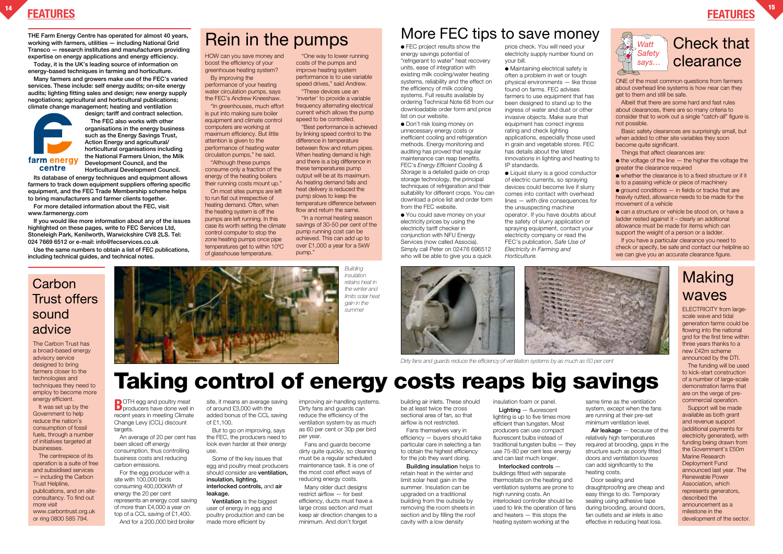### **FEATURES <sup>14</sup> FEATURES**

**15**





## **Taking control of energy costs reaps big savings**

### **Carbon** Trust offers sound advice

### Check that clearance

**Transco — research institutes and manufacturers providing expertise on energy applications and energy efficiency.**

**design; tariff and contract selection. The FEC also works with other organisations in the energy business such as the Energy Savings Trust, Action Energy and agricultural/ horticultural organisations including the National Farmers Union, the Milk** farm energy **Development Council, and the** centre

**Today, it is the UK's leading source of information on energy-based techniques in farming and horticulture.**

**Many farmers and growers make use of the FEC's varied services. These include: self energy audits; on-site energy audits; lighting fitting sales and design; new energy supply negotiations; agricultural and horticultural publications; climate change management; heating and ventilation**

> **B**OTH egg and poultry meat **P** producers have done well in recent years in meeting Climate Change Levy (CCL) discount targets.

**Horticultural Development Council. Its database of energy techniques and equipment allows farmers to track down equipment suppliers offering specific equipment, and the FEC Trade Membership scheme helps**

**to bring manufacturers and farmer clients together. For more detailed information about the FEC, visit**

**www.farmenergy.com If you would like more information about any of the issues highlighted on these pages, write to FEC Services Ltd, Stoneleigh Park, Kenilworth, Warwickshire CV8 2LS. Tel: 024 7669 6512 or e-mail: info@fecservices.co.uk** 

**Use the same numbers to obtain a list of FEC publications, including technical guides, and technical notes.**

An average of 20 per cent has been sliced off energy consumption, thus controlling business costs and reducing carbon emissions.

For the egg producer with a site with 100,000 birds consuming 400,000kWh of energy the 20 per cent represents an energy cost saving of more than £4,000 a year on top of a CCL saving of £1,400. And for a 200,000 bird broiler

**Air leakage** — because of the relatively high temperatures required at brooding, gaps in the structure such as poorly fitted doors and ventilation louvres can add significantly to the

site, it means an average saving of around £3,000 with the added bonus of the CCL saving of £1,100.

But to go on improving, says the FEC, the producers need to look even harder at their energy use.

Some of the key issues that egg and poultry meat producers should consider are **ventilation, insulation, lighting, interlocked controls,** and **air leakage.**

**Ventilation** is the biggest user of energy in egg and poultry production and can be made more efficient by

improving air-handling systems. Dirty fans and guards can reduce the efficiency of the ventilation system by as much as 60 per cent or 30p per bird per year.

"These devices use an 'inverter' to provide a variable frequency alternating electrical current which allows the pump speed to be controlled.

Fans and guards become dirty quite quickly, so cleaning must be a regular scheduled maintenance task. It is one of the most cost effect ways of reducing energy costs.

Many older duct designs restrict airflow — for best efficiency, ducts must have a large cross section and must keep air direction changes to a minimum. And don't forget

building air inlets. These should be at least twice the cross sectional area of fan, so that airflow is not restricted.

Fans themselves vary in efficiency — buyers should take particular care in selecting a fan to obtain the highest efficiency for the job they want doing.

● FEC project results show the energy savings potential of "refrigerant to water" heat recovery units, ease of integration with existing milk cooling/water heating systems, reliability and the effect on the efficiency of milk cooling systems. Full results available by ordering Technical Note 68 from our downloadable order form and price list on our website.

**Building insulation** helps to retain heat in the winter and limit solar heat gain in the summer. Insulation can be upgraded on a traditional building from the outside by removing the room sheets in section and by filling the roof cavity with a low density

● Don't risk losing money on unnecessary energy costs or inefficient cooling and refrigeration methods. Energy monitoring and auditing has proved that regular maintenance can reap benefits. FEC's *Energy Efficient Cooling & Storage* is a detailed guide on crop storage technology, the principal techniques of refrigeration and their suitability for different crops. You can download a price list and order form from the FEC website.

insulation foam or panel.

**Lighting** — fluorescent lighting is up to five times more efficient than tungsten. Most producers can use compact fluorescent bulbs instead of traditional tungsten bulbs — they use 75-80 per cent less energy and can last much longer.

**Interlocked controls**  buildings fitted with separate thermostats on the heating and ventilation systems are prone to high running costs. An interlocked controller should be used to link the operation of fans and heaters — this stops the heating system working at the

● Liquid slurry is a good conductor of electric currents, so spraying devices could become live if slurry comes into contact with overhead lines — with dire consequences for the unsuspecting machine operator. If you have doubts about the safety of slurry application or spraying equipment, contact your electricity company or read the FEC's publication, *Safe Use of Electricity in Farming and Horticulture.*

> same time as the ventilation system, except when the fans are running at their pre-set minimum ventilation level.

It was set up by the Government to help reduce the nation's consumption of fossil fuels, through a number of initiatives targeted at businesses.

### **Making** waves

heating costs. Door sealing and draughtproofing are cheap and easy things to do. Temporary sealing using adhesive tape during brooding, around doors, fan outlets and air inlets is also effective in reducing heat loss.

HOW can you save money and boost the efficiency of your greenhouse heating system? By improving the

performance of your heating water circulation pumps, says the FEC's Andrew Kneeshaw.

"In greenhouses, much effort is put into making sure boiler equipment and climate control computers are working at maximum efficiency. But little attention is given to the performance of heating water circulation pumps," he said.

 $\bullet$  the voltage of the line  $-$  the higher the voltage the greater the clearance required

 $\bullet$  ground conditions  $-$  in fields or tracks that are heavily rutted, allowance needs to be made for the movement of a vehicle

"Although these pumps consume only a fraction of the energy of the heating boilers their running costs mount up."

> ● can a structure or vehicle be stood on, or have a ladder rested against it – clearly an additional allowance must be made for items which can support the weight of a person or a ladder.

On most sites pumps are left to run flat out irrespective of heating demand. Often, when the heating system is off the pumps are left running. In this case its worth setting the climate control computer to stop the zone heating pumps once pipe temperatures get to within 10ºC of glasshouse temperature.

"One way to lower running costs of the pumps and improve heating system performance is to use variable speed drives," said Andrew.

"Best performance is achieved by linking speed control to the difference in temperature between flow and return pipes. When heating demand is high and there is a big difference in these temperatures pump output will be at its maximum. As heating demand falls and heat delivery is reduced the pump slows to keep the temperature difference between flow and return the same.

"In a normal heating season savings of 30-50 per cent of the pump running cost can be achieved. This can add up to over £1,000 a year for a 5kW pump."

## THE Farm Energy Centre has operated for almost 40 years, **Rein in the pumps** More FEC tips to save money working with farmers, utilities – including National Grid **Rein in the pumps**

● You could save money on your electricity prices by using the electricity tariff checker in conjunction with NFU Energy Services (now called Associa). Simply call Peter on 02476 696512 who will be able to give you a quick

price check. You will need your electricity supply number found on your bill.

● Maintaining electrical safety is often a problem in wet or tough physical environments — like those found on farms. FEC advises farmers to use equipment that has been designed to stand up to the ingress of water and dust or other invasive objects. Make sure that equipment has correct ingress rating and check lighting applications, especially those used in grain and vegetable stores. FEC has details about the latest innovations in lighting and heating to IP standards.

The Carbon Trust has a broad-based energy advisory service designed to bring farmers closer to the technologies and techniques they need to employ to become more energy efficient.

The centrepiece of its operation is a suite of free and subsidised services — including the Carbon Trust Helpline, publications, and on siteconsultancy. To find out more visit www.carbontrust.org.uk or ring 0800 585 794.



ELECTRICITY from largescale wave and tidal generation farms could be flowing into the national grid for the first time within three years thanks to a new £42m scheme announced by the DTI.

The funding will be used to kick-start construction of a number of large-scale demonstration farms that are on the verge of precommercial operation.

Support will be made available as both grant and revenue support (additional payments for electricity generated), with funding being drawn from the Government's £50m Marine Research Deployment Fund announced last year. The Renewable Power Association, which represents generators, described the announcement as a milestone in the development of the sector.

ONE of the most common questions from farmers about overhead line systems is how near can they get to them and still be safe.

Albeit that there are some hard and fast rules about clearances, there are so many criteria to consider that to work out a single "catch-all" figure is not possible.

Basic safety clearances are surprisingly small, but when added to other site variables they soon become quite significant.

Things that affect clearances are:

● whether the clearance is to a fixed structure or if it is to a passing vehicle or piece of machinery

If you have a particular clearance you need to check or specify, be safe and contact our helpline so we can give you an accurate clearance figure.





*Building insulation retains heat in the winter and limits solar heat gain in the summer*



*Dirty fans and guards reduce the efficiency of ventilation systems by as much as 60 per cent*